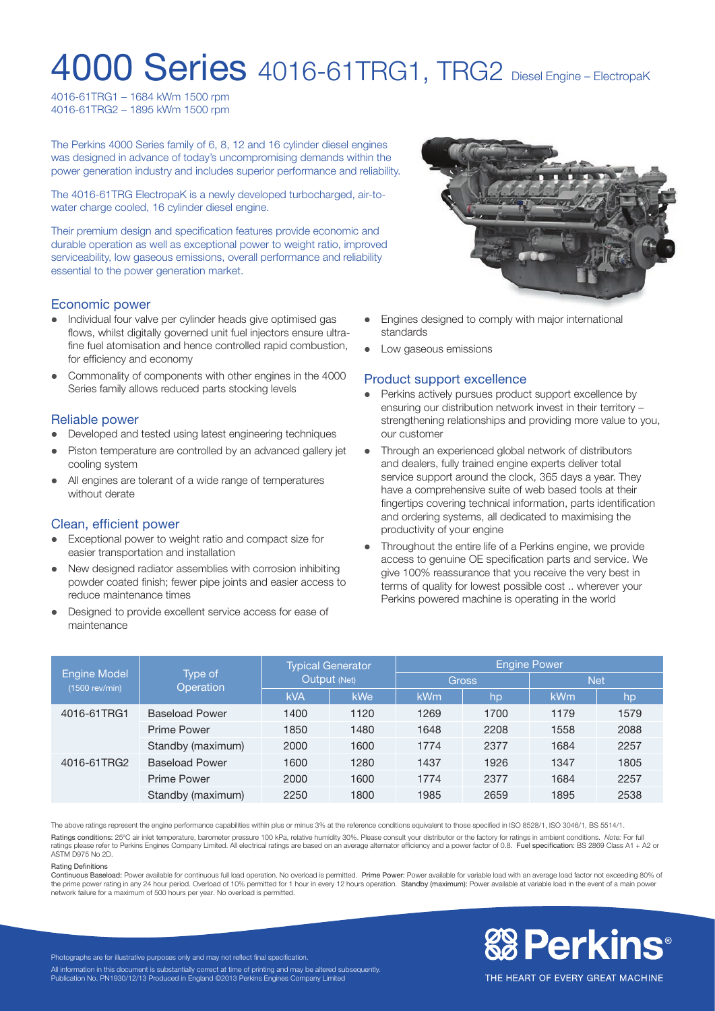# **4000 Series** 4016-61TRG1, TRG2 Diesel Engine – ElectropaK

4016-61TRG1 – 1684 kWm 1500 rpm 4016-61TRG2 – 1895 kWm 1500 rpm

The Perkins 4000 Series family of 6, 8, 12 and 16 cylinder diesel engines was designed in advance of today's uncompromising demands within the power generation industry and includes superior performance and reliability.

The 4016-61TRG ElectropaK is a newly developed turbocharged, air-towater charge cooled, 16 cylinder diesel engine.

Their premium design and specification features provide economic and durable operation as well as exceptional power to weight ratio, improved serviceability, low gaseous emissions, overall performance and reliability essential to the power generation market.

#### Economic power

- Individual four valve per cylinder heads give optimised gas flows, whilst digitally governed unit fuel injectors ensure ultrafine fuel atomisation and hence controlled rapid combustion, for efficiency and economy
- Commonality of components with other engines in the 4000 Series family allows reduced parts stocking levels

#### Reliable power

- Developed and tested using latest engineering techniques
- Piston temperature are controlled by an advanced gallery jet cooling system
- All engines are tolerant of a wide range of temperatures without derate

#### Clean, efficient power

- Exceptional power to weight ratio and compact size for easier transportation and installation
- New designed radiator assemblies with corrosion inhibiting powder coated finish; fewer pipe joints and easier access to reduce maintenance times
- Designed to provide excellent service access for ease of maintenance



- Engines designed to comply with major international standards
- Low gaseous emissions

#### Product support excellence

- Perkins actively pursues product support excellence by ensuring our distribution network invest in their territory – strengthening relationships and providing more value to you, our customer
- Through an experienced global network of distributors and dealers, fully trained engine experts deliver total service support around the clock, 365 days a year. They have a comprehensive suite of web based tools at their fingertips covering technical information, parts identification and ordering systems, all dedicated to maximising the productivity of your engine
- Throughout the entire life of a Perkins engine, we provide access to genuine OE specification parts and service. We give 100% reassurance that you receive the very best in terms of quality for lowest possible cost .. wherever your Perkins powered machine is operating in the world

| Engine Model<br>(1500 rev/min) | Type of<br>Operation  | <b>Typical Generator</b><br>Output (Net) |            | <b>Engine Power</b> |      |            |      |
|--------------------------------|-----------------------|------------------------------------------|------------|---------------------|------|------------|------|
|                                |                       |                                          |            | <b>Gross</b>        |      | <b>Net</b> |      |
|                                |                       | <b>kVA</b>                               | <b>kWe</b> | <b>kWm</b>          | hp   | <b>kWm</b> | hp   |
| 4016-61TRG1                    | <b>Baseload Power</b> | 1400                                     | 1120       | 1269                | 1700 | 1179       | 1579 |
|                                | <b>Prime Power</b>    | 1850                                     | 1480       | 1648                | 2208 | 1558       | 2088 |
|                                | Standby (maximum)     | 2000                                     | 1600       | 1774                | 2377 | 1684       | 2257 |
| 4016-61TRG2                    | <b>Baseload Power</b> | 1600                                     | 1280       | 1437                | 1926 | 1347       | 1805 |
|                                | <b>Prime Power</b>    | 2000                                     | 1600       | 1774                | 2377 | 1684       | 2257 |
|                                | Standby (maximum)     | 2250                                     | 1800       | 1985                | 2659 | 1895       | 2538 |

The above ratings represent the engine performance capabilities within plus or minus 3% at the reference conditions equivalent to those specified in ISO 8528/1, ISO 3046/1, BS 5514/1. Ratings conditions: 25ºC air inlet temperature, barometer pressure 100 kPa, relative humidity 30%. Please consult your distributor or the factory for ratings in ambient conditions. *Note:* For full ratings please refer to Perkins Engines Company Limited. All electrical ratings are based on an average alternator efficiency and a power factor of 0.8. Fuel specification: BS 2869 Class A1 + A2 or ASTM D975 No 2D.

#### Rating Definitions

Continuous Baseload: Power available for continuous full load operation. No overload is permitted. Prime Power: Power available for variable load with an average load factor not exceeding 80% of the prime power rating in any 24 hour period. Overload of 10% permitted for 1 hour in every 12 hours operation. Standby (maximum): Power available at variable load in the event of a main power network failure for a maximum of 500 hours per year. No overload is permitted.



THE HEART OF EVERY GREAT MACHINE

Photographs are for illustrative purposes only and may not reflect final specification. All information in this document is substantially correct at time of printing and may be altered subsequently. Publication No. PN1930/12/13 Produced in England ©2013 Perkins Engines Company Limited